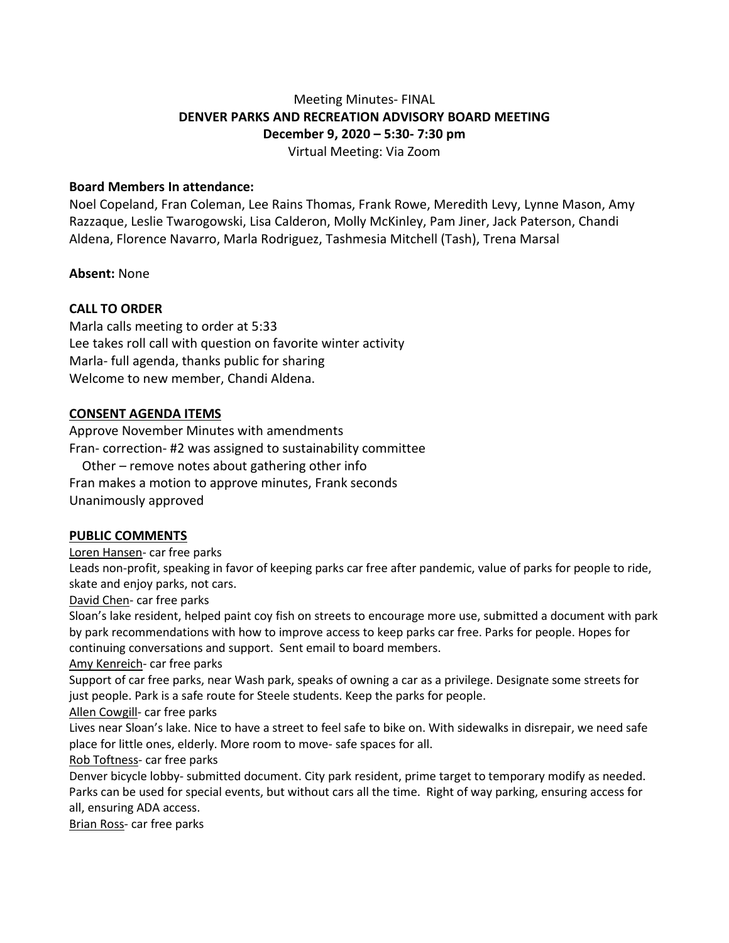# Meeting Minutes- FINAL **DENVER PARKS AND RECREATION ADVISORY BOARD MEETING December 9, 2020 – 5:30- 7:30 pm** Virtual Meeting: Via Zoom

### **Board Members In attendance:**

Noel Copeland, Fran Coleman, Lee Rains Thomas, Frank Rowe, Meredith Levy, Lynne Mason, Amy Razzaque, Leslie Twarogowski, Lisa Calderon, Molly McKinley, Pam Jiner, Jack Paterson, Chandi Aldena, Florence Navarro, Marla Rodriguez, Tashmesia Mitchell (Tash), Trena Marsal

### **Absent:** None

## **CALL TO ORDER**

Marla calls meeting to order at 5:33 Lee takes roll call with question on favorite winter activity Marla- full agenda, thanks public for sharing Welcome to new member, Chandi Aldena.

### **CONSENT AGENDA ITEMS**

Approve November Minutes with amendments Fran- correction- #2 was assigned to sustainability committee Other – remove notes about gathering other info Fran makes a motion to approve minutes, Frank seconds Unanimously approved

#### **PUBLIC COMMENTS**

Loren Hansen- car free parks

Leads non-profit, speaking in favor of keeping parks car free after pandemic, value of parks for people to ride, skate and enjoy parks, not cars.

David Chen- car free parks

Sloan's lake resident, helped paint coy fish on streets to encourage more use, submitted a document with park by park recommendations with how to improve access to keep parks car free. Parks for people. Hopes for continuing conversations and support. Sent email to board members.

Amy Kenreich- car free parks

Support of car free parks, near Wash park, speaks of owning a car as a privilege. Designate some streets for just people. Park is a safe route for Steele students. Keep the parks for people.

Allen Cowgill- car free parks

Lives near Sloan's lake. Nice to have a street to feel safe to bike on. With sidewalks in disrepair, we need safe place for little ones, elderly. More room to move- safe spaces for all.

Rob Toftness- car free parks

Denver bicycle lobby- submitted document. City park resident, prime target to temporary modify as needed. Parks can be used for special events, but without cars all the time. Right of way parking, ensuring access for all, ensuring ADA access.

Brian Ross- car free parks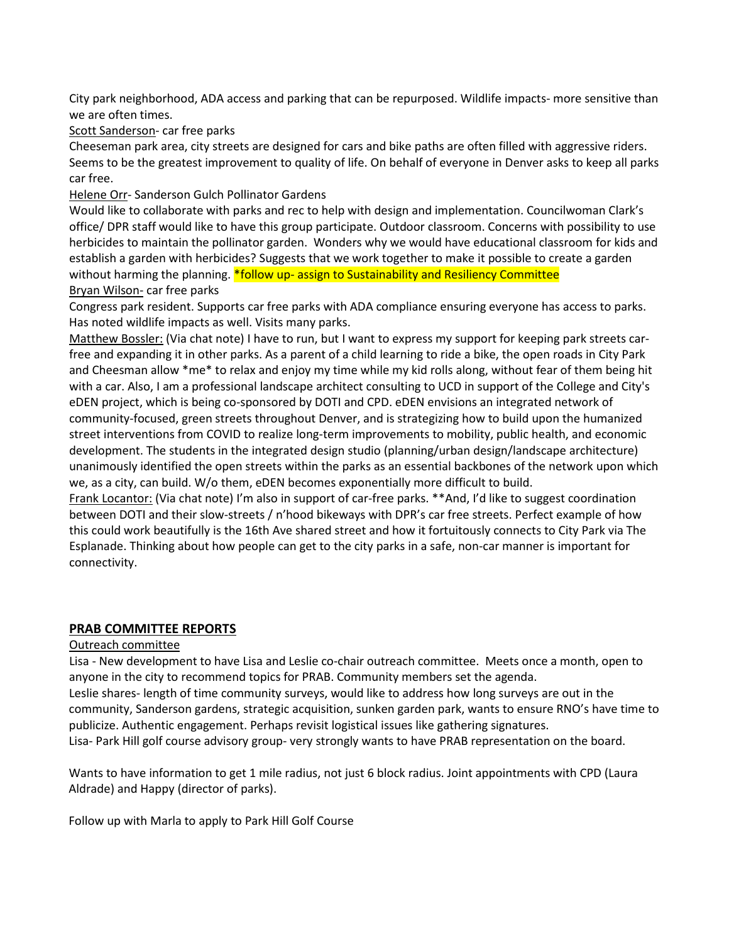City park neighborhood, ADA access and parking that can be repurposed. Wildlife impacts- more sensitive than we are often times.

Scott Sanderson- car free parks

Cheeseman park area, city streets are designed for cars and bike paths are often filled with aggressive riders. Seems to be the greatest improvement to quality of life. On behalf of everyone in Denver asks to keep all parks car free.

Helene Orr- Sanderson Gulch Pollinator Gardens

Would like to collaborate with parks and rec to help with design and implementation. Councilwoman Clark's office/ DPR staff would like to have this group participate. Outdoor classroom. Concerns with possibility to use herbicides to maintain the pollinator garden. Wonders why we would have educational classroom for kids and establish a garden with herbicides? Suggests that we work together to make it possible to create a garden without harming the planning. \*follow up- assign to Sustainability and Resiliency Committee Bryan Wilson- car free parks

Congress park resident. Supports car free parks with ADA compliance ensuring everyone has access to parks. Has noted wildlife impacts as well. Visits many parks.

Matthew Bossler: (Via chat note) I have to run, but I want to express my support for keeping park streets carfree and expanding it in other parks. As a parent of a child learning to ride a bike, the open roads in City Park and Cheesman allow \*me\* to relax and enjoy my time while my kid rolls along, without fear of them being hit with a car. Also, I am a professional landscape architect consulting to UCD in support of the College and City's eDEN project, which is being co-sponsored by DOTI and CPD. eDEN envisions an integrated network of community-focused, green streets throughout Denver, and is strategizing how to build upon the humanized street interventions from COVID to realize long-term improvements to mobility, public health, and economic development. The students in the integrated design studio (planning/urban design/landscape architecture) unanimously identified the open streets within the parks as an essential backbones of the network upon which we, as a city, can build. W/o them, eDEN becomes exponentially more difficult to build.

Frank Locantor: (Via chat note) I'm also in support of car-free parks. \*\*And, I'd like to suggest coordination between DOTI and their slow-streets / n'hood bikeways with DPR's car free streets. Perfect example of how this could work beautifully is the 16th Ave shared street and how it fortuitously connects to City Park via The Esplanade. Thinking about how people can get to the city parks in a safe, non-car manner is important for connectivity.

## **PRAB COMMITTEE REPORTS**

#### Outreach committee

Lisa - New development to have Lisa and Leslie co-chair outreach committee. Meets once a month, open to anyone in the city to recommend topics for PRAB. Community members set the agenda.

Leslie shares- length of time community surveys, would like to address how long surveys are out in the community, Sanderson gardens, strategic acquisition, sunken garden park, wants to ensure RNO's have time to publicize. Authentic engagement. Perhaps revisit logistical issues like gathering signatures.

Lisa- Park Hill golf course advisory group- very strongly wants to have PRAB representation on the board.

Wants to have information to get 1 mile radius, not just 6 block radius. Joint appointments with CPD (Laura Aldrade) and Happy (director of parks).

Follow up with Marla to apply to Park Hill Golf Course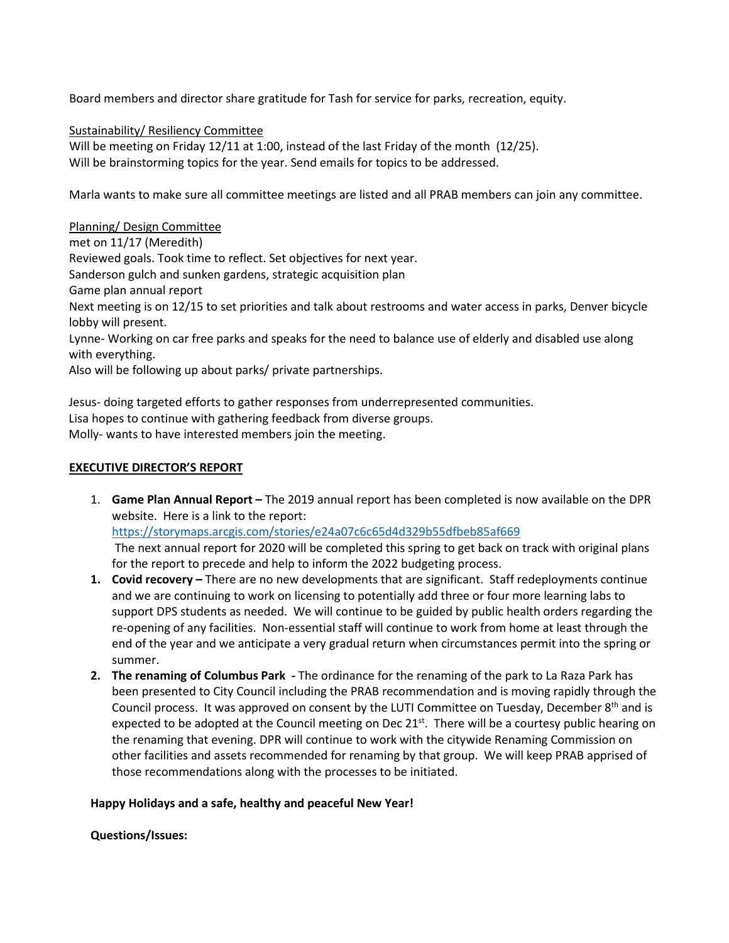Board members and director share gratitude for Tash for service for parks, recreation, equity.

Sustainability/ Resiliency Committee

Will be meeting on Friday 12/11 at 1:00, instead of the last Friday of the month (12/25). Will be brainstorming topics for the year. Send emails for topics to be addressed.

Marla wants to make sure all committee meetings are listed and all PRAB members can join any committee.

Planning/ Design Committee

met on 11/17 (Meredith) Reviewed goals. Took time to reflect. Set objectives for next year. Sanderson gulch and sunken gardens, strategic acquisition plan Game plan annual report Next meeting is on 12/15 to set priorities and talk about restrooms and water access in parks, Denver bicycle lobby will present. Lynne- Working on car free parks and speaks for the need to balance use of elderly and disabled use along with everything.

Also will be following up about parks/ private partnerships.

Jesus- doing targeted efforts to gather responses from underrepresented communities. Lisa hopes to continue with gathering feedback from diverse groups. Molly- wants to have interested members join the meeting.

#### **EXECUTIVE DIRECTOR'S REPORT**

- 1. **Game Plan Annual Report –** The 2019 annual report has been completed is now available on the DPR website. Here is a link to the report: <https://storymaps.arcgis.com/stories/e24a07c6c65d4d329b55dfbeb85af669> The next annual report for 2020 will be completed this spring to get back on track with original plans for the report to precede and help to inform the 2022 budgeting process.
- **1. Covid recovery –** There are no new developments that are significant. Staff redeployments continue and we are continuing to work on licensing to potentially add three or four more learning labs to support DPS students as needed. We will continue to be guided by public health orders regarding the re-opening of any facilities. Non-essential staff will continue to work from home at least through the end of the year and we anticipate a very gradual return when circumstances permit into the spring or summer.
- **2. The renaming of Columbus Park -** The ordinance for the renaming of the park to La Raza Park has been presented to City Council including the PRAB recommendation and is moving rapidly through the Council process. It was approved on consent by the LUTI Committee on Tuesday, December  $8<sup>th</sup>$  and is expected to be adopted at the Council meeting on Dec  $21^{st}$ . There will be a courtesy public hearing on the renaming that evening. DPR will continue to work with the citywide Renaming Commission on other facilities and assets recommended for renaming by that group. We will keep PRAB apprised of those recommendations along with the processes to be initiated.

#### **Happy Holidays and a safe, healthy and peaceful New Year!**

**Questions/Issues:**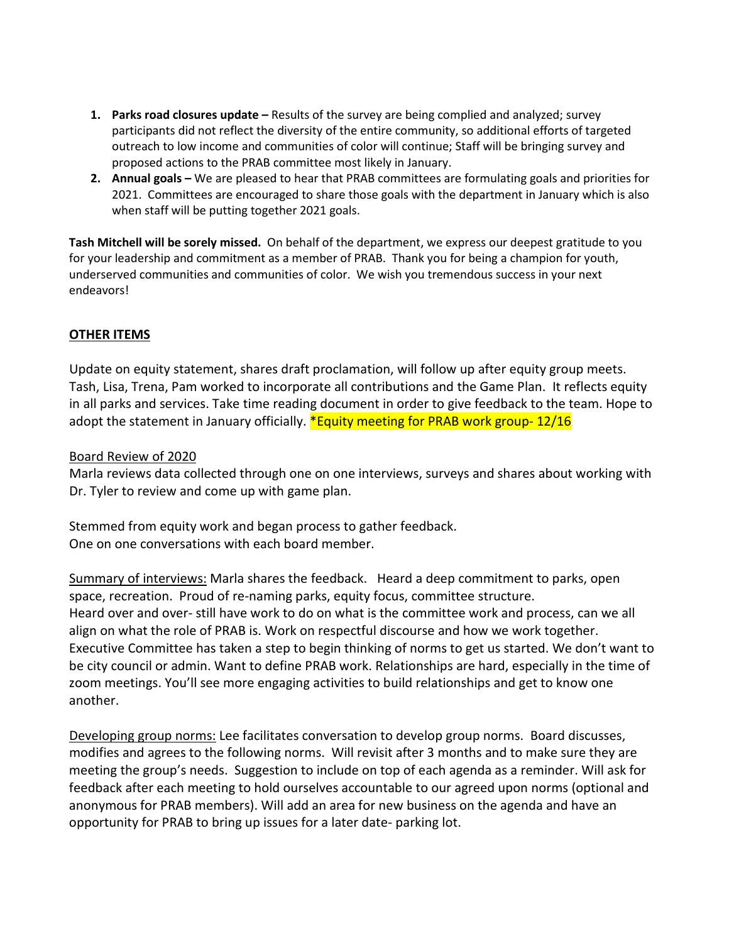- **1. Parks road closures update –** Results of the survey are being complied and analyzed; survey participants did not reflect the diversity of the entire community, so additional efforts of targeted outreach to low income and communities of color will continue; Staff will be bringing survey and proposed actions to the PRAB committee most likely in January.
- **2. Annual goals –** We are pleased to hear that PRAB committees are formulating goals and priorities for 2021. Committees are encouraged to share those goals with the department in January which is also when staff will be putting together 2021 goals.

**Tash Mitchell will be sorely missed.** On behalf of the department, we express our deepest gratitude to you for your leadership and commitment as a member of PRAB. Thank you for being a champion for youth, underserved communities and communities of color. We wish you tremendous success in your next endeavors!

# **OTHER ITEMS**

Update on equity statement, shares draft proclamation, will follow up after equity group meets. Tash, Lisa, Trena, Pam worked to incorporate all contributions and the Game Plan. It reflects equity in all parks and services. Take time reading document in order to give feedback to the team. Hope to adopt the statement in January officially. **\*Equity meeting for PRAB work group-12/16** 

## Board Review of 2020

Marla reviews data collected through one on one interviews, surveys and shares about working with Dr. Tyler to review and come up with game plan.

Stemmed from equity work and began process to gather feedback. One on one conversations with each board member.

Summary of interviews: Marla shares the feedback. Heard a deep commitment to parks, open space, recreation. Proud of re-naming parks, equity focus, committee structure. Heard over and over- still have work to do on what is the committee work and process, can we all align on what the role of PRAB is. Work on respectful discourse and how we work together. Executive Committee has taken a step to begin thinking of norms to get us started. We don't want to be city council or admin. Want to define PRAB work. Relationships are hard, especially in the time of zoom meetings. You'll see more engaging activities to build relationships and get to know one another.

Developing group norms: Lee facilitates conversation to develop group norms. Board discusses, modifies and agrees to the following norms. Will revisit after 3 months and to make sure they are meeting the group's needs. Suggestion to include on top of each agenda as a reminder. Will ask for feedback after each meeting to hold ourselves accountable to our agreed upon norms (optional and anonymous for PRAB members). Will add an area for new business on the agenda and have an opportunity for PRAB to bring up issues for a later date- parking lot.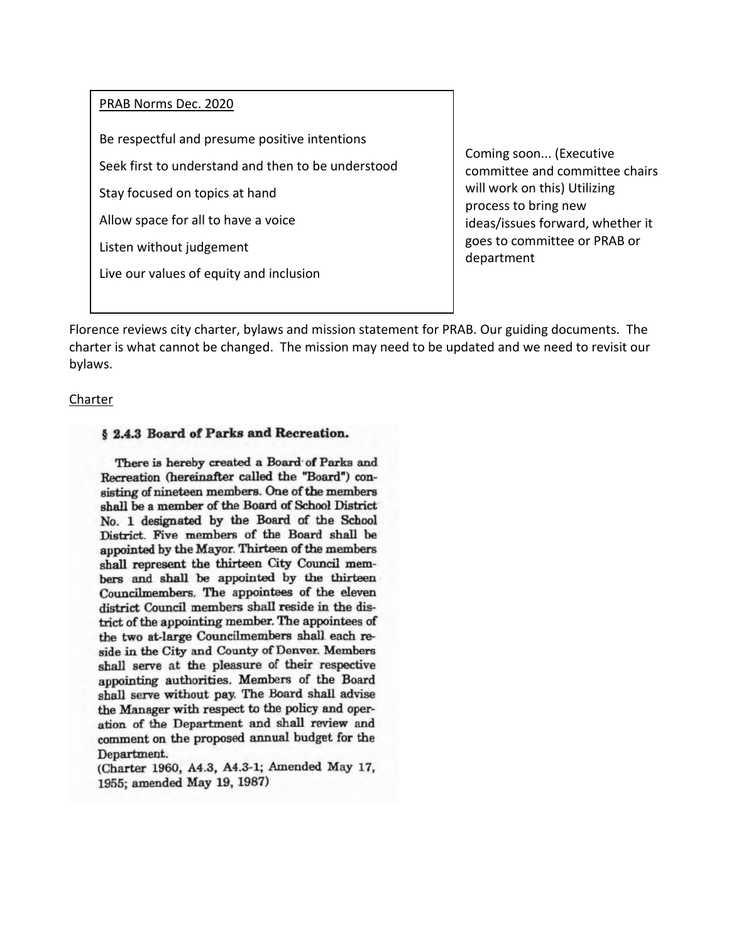#### PRAB Norms Dec. 2020

Be respectful and presume positive intentions

Seek first to understand and then to be understood

Stay focused on topics at hand

Allow space for all to have a voice

Listen without judgement

Live our values of equity and inclusion

Coming soon... (Executive committee and committee chairs will work on this) Utilizing process to bring new ideas/issues forward, whether it goes to committee or PRAB or department

Florence reviews city charter, bylaws and mission statement for PRAB. Our guiding documents. The charter is what cannot be changed. The mission may need to be updated and we need to revisit our bylaws.

#### **Charter**

## § 2.4.3 Board of Parks and Recreation.

There is hereby created a Board of Parks and Recreation (hereinafter called the "Board") consisting of nineteen members. One of the members shall be a member of the Board of School District No. 1 designated by the Board of the School District. Five members of the Board shall be appointed by the Mayor. Thirteen of the members shall represent the thirteen City Council members and shall be appointed by the thirteen Councilmembers. The appointees of the eleven district Council members shall reside in the district of the appointing member. The appointees of the two at-large Councilmembers shall each reside in the City and County of Denver. Members shall serve at the pleasure of their respective appointing authorities. Members of the Board shall serve without pay. The Board shall advise the Manager with respect to the policy and operation of the Department and shall review and comment on the proposed annual budget for the Department.

(Charter 1960, A4.3, A4.3-1; Amended May 17, 1955; amended May 19, 1987)